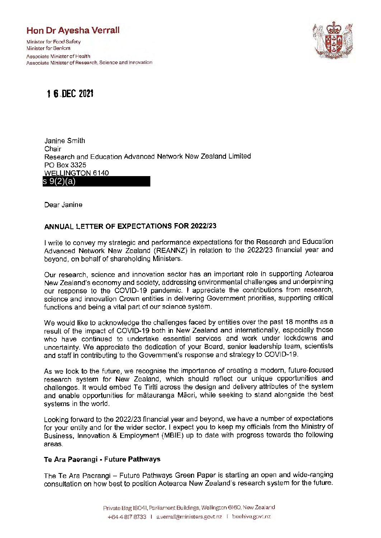## **Hon Dr Ayesha Verrall**

Minister for Food Safety Minister for Seniors Associate Minister of Health Associate Minister of Research, Science and Innovation



# **1 6.,DEC 2021**

Janine Smith Chair Research and Education Advanced Network New Zealand Limited PO Box 3325 **WELLINGTON 6140** s 9(2)(a)

Dear Janine

## **ANNUAL LETTER OF EXPECTATIONS FOR 2022/23**

I write to convey my strategic and performance expectations for the Research and Education Advanced Network New Zealand (REANNZ) in relation to the 2022/23 financial year and beyond, on behalf of shareholding Ministers.

Our research, science and innovation sector has an important role in supporting Aotearoa New Zealand's economy and society, addressing environmental challenges and underpinning our response to the COVID-19 pandemic. I appreciate the contributions from research, science and innovation Crown entities in delivering Government priorities, supporting critical functions and being a vital part of our science system,

We would like to acknowledge the challenges faced by entities over the past 18 months as a result of the impact of COVID-19 both in New Zealand and internationally, especially those who have continued to undertake essential services and work under lockdowns and uncertainty. We appreciate the dedication of your Board, senior leadership team, scientists and staff in contributing to the Government's response and strategy to COVID-19.

As we look to the future, we recognise the importance of creating a modern, future-focused research system for New Zealand, which should reflect our unique opportunities and challenges. It would embed Te Tiriti across the design and delivery attributes of the system and enable opportunities for matauranga Maori, while seeking to stand alongside the best systems in the world.

Looking forward to the 2022/23 financial year and beyond, we have a number of expectations for your entity and for the wider sector. I expect you to keep my officials from the Ministry of Business, Innovation & Employment (MBIE) up to date with progress towards the following areas,

## **Te Ara Paerangi • Future Pathways**

The Te Ara Paerangi - Future Pathways Green Paper is starting an open and wide-ranging consultation on how best to position Aotearoa New Zealand's research system for the future.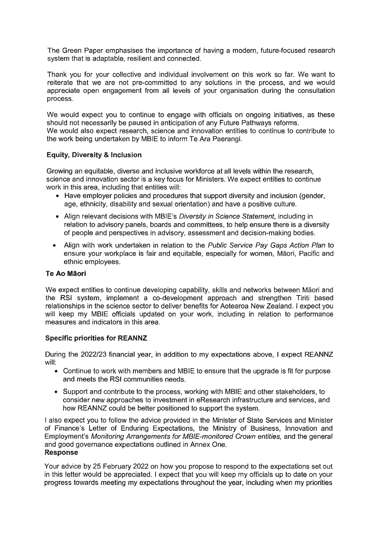The Green Paper emphasises the importance of having a modern, future-focused research system that is adaptable, resilient and connected.

Thank you for your collective and individual involvement on this work so far. We want to reiterate that we are not pre-committed to any solutions in the process, and we would appreciate open engagement from all levels of your organisation during the consultation process.

We would expect you to continue to engage with officials on ongoing initiatives, as these should not necessarily be paused in anticipation of any Future Pathways reforms. We would also expect research, science and innovation entities to continue to contribute to the work being undertaken by MBIE to inform Te Ara Paerangi.

## **Equity, Diversity & Inclusion**

Growing an equitable, diverse and inclusive workforce at all levels within the research, science and innovation sector is a key focus for Ministers. We expect entities to continue work in this area, including that entities will:

- Have employer policies and procedures that support diversity and inclusion (gender, age, ethnicity, disability and sexual orientation) and have a positive culture.
- Align relevant decisions with MBIE's *Diversity in Science Statement*, including in relation to advisory panels, boards and committees, to help ensure there is a diversity of people and perspectives in advisory, assessment and decision-making bodies.
- Align with work undertaken in relation to the Public Service Pay Gaps Action Plan to ensure your workplace is fair and equitable, especially for women, Maori, Pacific and ethnic employees.

## **Te Ao Maori**

We expect entities to continue developing capability, skills and networks between Maori and the RSI system, implement a co-development approach and strengthen Tiriti based relationships in the science sector to deliver benefits for Aotearoa New Zealand. I expect you will keep my MBIE officials updated on your work, including in relation to performance measures and indicators in this area.

### **Specific priorities for REANNZ**

During the 2022/23 financial year, in addition to my expectations above, I expect REANNZ will:

- Continue to work with members and MBIE to ensure that the upgrade is fit for purpose and meets the RSI communities needs.
- Support and contribute to the process, working with MBIE and other stakeholders, to consider new approaches to investment in eResearch infrastructure and services, and how REANNZ could be better positioned to support the system.

I also expect you to follow the advice provided in the Minister of State Services and Minister of Finance's Letter of Enduring Expectations, the Ministry of Business, Innovation and Employment's Monitoring Arrangements for MBIE-monitored Crown entities, and the general and good governance expectations outlined in Annex One. **Response** 

Your advice by 25 February 2022 on how you propose to respond to the expectations set out in this letter would be appreciated. I expect that you will keep my officials up to date on your progress towards meeting my expectations throughout the year, including when my priorities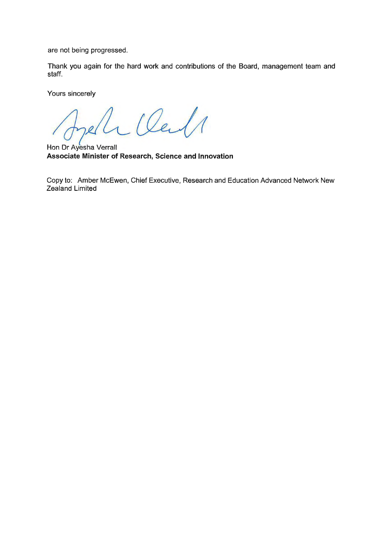are not being progressed.

Thank you again for the hard work and contributions of the Board, management team and staff.

Yours sincerely

*4;L* 

Hon Dr Ayesha Verrall **Associate Minister of Research, Science and Innovation** 

Copy to: Amber McEwen, Chief Executive, Research and Education Advanced Network New Zealand Limited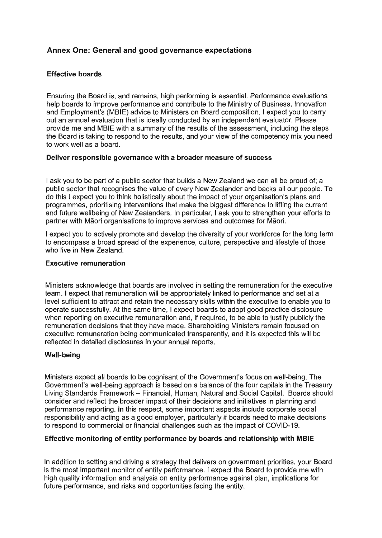## **Annex One: General and good governance expectations**

## **Effective boards**

Ensuring the Board is, and remains, high performing is essential. Performance evaluations help boards to improve performance and contribute to the Ministry of Business, Innovation and Employment's (MBIE) advice to Ministers on Board composition. I expect you to carry out an annual evaluation that is ideally conducted by an independent evaluator. Please provide me and MBIE with a summary of the results of the assessment, including the steps the Board is taking to respond to the results, and your view of the competency mix you need to work well as a board.

## **Deliver responsible governance with a broader measure of success**

I ask you to be part of a public sector that builds a New Zealand we can all be proud of; a public sector that recognises the value of every New Zealander and backs all our people. To do this I expect you to think holistically about the impact of your organisation's plans and programmes, prioritising interventions that make the biggest difference to lifting the current and future wellbeing of New Zealanders. In particular, I ask you to strengthen your efforts to partner with Maori organisations to improve services and outcomes for Maori.

I expect you to actively promote and develop the diversity of your workforce for the long term to encompass a broad spread of the experience, culture, perspective and lifestyle of those who live in New Zealand.

### **Executive remuneration**

Ministers acknowledge that boards are involved in setting the remuneration for the executive team. I expect that remuneration will be appropriately linked to performance and set at a level sufficient to attract and retain the necessary skills within the executive to enable you to operate successfully. At the same time, I expect boards to adopt good practice disclosure when reporting on executive remuneration and, if required, to be able to justify publicly the remuneration decisions that they have made. Shareholding Ministers remain focused on executive remuneration being communicated transparently, and it is expected this will be reflected in detailed disclosures in your annual reports.

## **Well-being**

Ministers expect all boards to be cognisant of the Government's focus on well-being. The Government's well-being approach is based on a balance of the four capitals in the Treasury Living Standards Framework - Financial, Human, Natural and Social Capital. Boards should consider and reflect the broader impact of their decisions and initiatives in planning and performance reporting. In this respect, some important aspects include corporate social responsibility and acting as a good employer, particularly if boards need to make decisions to respond to commercial or financial challenges such as the impact of COVID-19.

## **Effective monitoring of entity performance by boards and relationship with MBIE**

In addition to setting and driving a strategy that delivers on government priorities, your Board is the most important monitor of entity performance. I expect the Board to provide me with high quality information and analysis on entity performance against plan, implications for future performance, and risks and opportunities facing the entity.